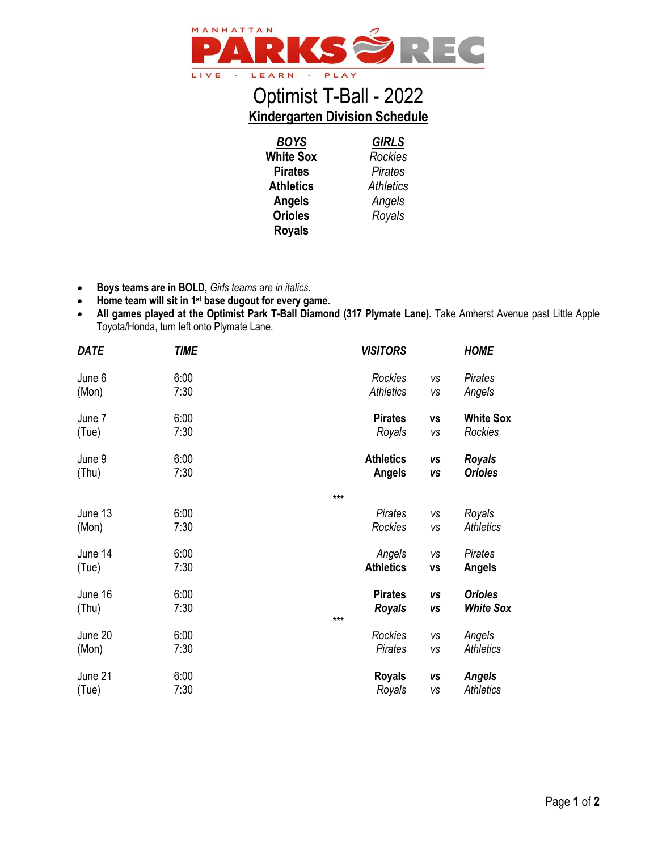

## Optimist T-Ball - 2022 **Kindergarten Division Schedule**

*BOYS* **White Sox Pirates Athletics Angels Orioles Royals** *GIRLS Rockies Pirates Athletics Angels Royals*

- **Boys teams are in BOLD,** *Girls teams are in italics.*
- **Home team will sit in 1st base dugout for every game.**
- All games played at the Optimist Park T-Ball Diamond (317 Plymate Lane). Take Amherst Avenue past Little Apple Toyota/Honda, turn left onto Plymate Lane.

| <b>DATE</b> | <b>TIME</b> |     | <b>VISITORS</b>  |           | <b>HOME</b>      |
|-------------|-------------|-----|------------------|-----------|------------------|
| June 6      | 6:00        |     | Rockies          | <b>VS</b> | Pirates          |
| (Mon)       | 7:30        |     | <b>Athletics</b> | VS        | Angels           |
| June 7      | 6:00        |     | <b>Pirates</b>   | <b>VS</b> | <b>White Sox</b> |
| (Tue)       | 7:30        |     | Royals           | VS        | Rockies          |
| June 9      | 6:00        |     | <b>Athletics</b> | <b>VS</b> | <b>Royals</b>    |
| (Thu)       | 7:30        |     | <b>Angels</b>    | <b>VS</b> | <b>Orioles</b>   |
|             |             | *** |                  |           |                  |
| June 13     | 6:00        |     | <b>Pirates</b>   | VS        | Royals           |
| (Mon)       | 7:30        |     | Rockies          | VS        | <b>Athletics</b> |
| June 14     | 6:00        |     | Angels           | vs        | Pirates          |
| (Tue)       | 7:30        |     | <b>Athletics</b> | <b>VS</b> | Angels           |
| June 16     | 6:00        | *** | <b>Pirates</b>   | <b>VS</b> | <b>Orioles</b>   |
| (Thu)       | 7:30        |     | <b>Royals</b>    | <b>VS</b> | <b>White Sox</b> |
| June 20     | 6:00        |     | Rockies          | VS        | Angels           |
| (Mon)       | 7:30        |     | <b>Pirates</b>   | VS        | <b>Athletics</b> |
| June 21     | 6:00        |     | <b>Royals</b>    | VS        | <b>Angels</b>    |
| (Tue)       | 7:30        |     | Royals           | VS        | <b>Athletics</b> |